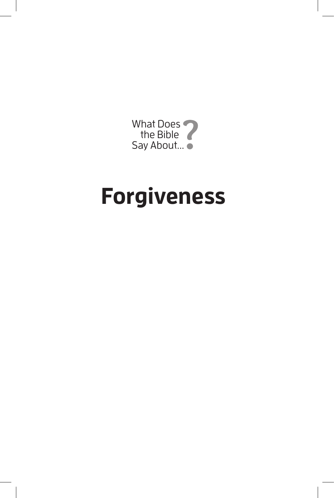

## **Forgiveness**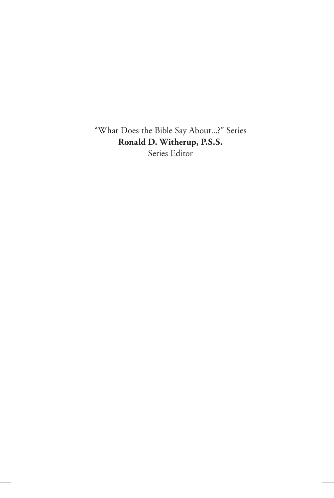"What Does the Bible Say About...?" Series **Ronald D. Witherup, P.S.S.** Series Editor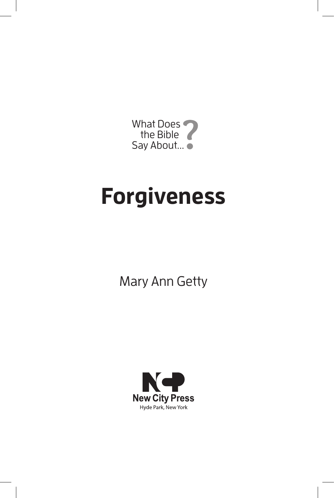

# **Forgiveness**

Mary Ann Getty

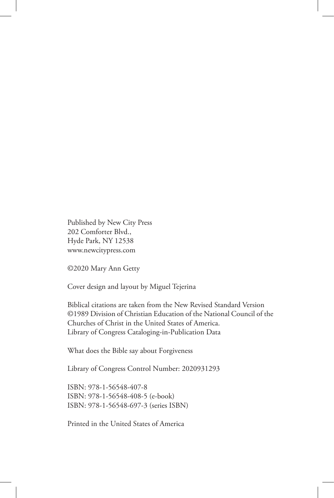Published by New City Press 202 Comforter Blvd., Hyde Park, NY 12538 www.newcitypress.com

©2020 Mary Ann Getty

Cover design and layout by Miguel Tejerina

Biblical citations are taken from the New Revised Standard Version ©1989 Division of Christian Education of the National Council of the Churches of Christ in the United States of America. Library of Congress Cataloging-in-Publication Data

What does the Bible say about Forgiveness

Library of Congress Control Number: 2020931293

ISBN: 978-1-56548-407-8 ISBN: 978-1-56548-408-5 (e-book) ISBN: 978-1-56548-697-3 (series ISBN)

Printed in the United States of America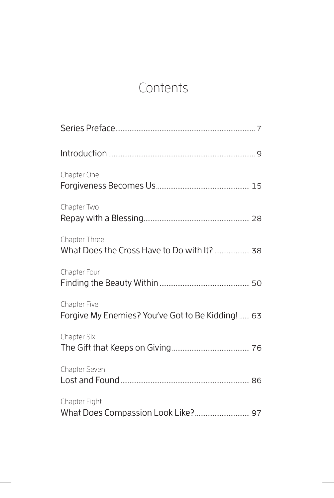## **Contents**

| Chapter One                                                       |
|-------------------------------------------------------------------|
| Chapter Two                                                       |
| Chapter Three<br>What Does the Cross Have to Do with It?  38      |
| Chapter Four                                                      |
| Chapter Five<br>Forgive My Enemies? You've Got to Be Kidding!  63 |
| Chapter Six                                                       |
| Chapter Seven                                                     |
| Chapter Eight                                                     |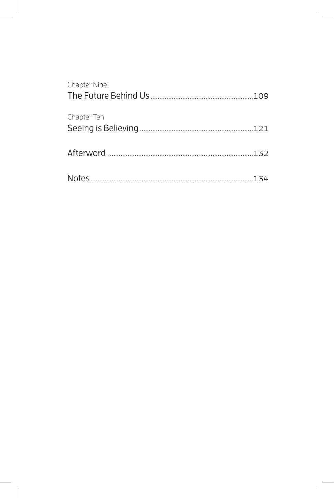| <b>Chapter Nine</b> |  |
|---------------------|--|
| Chapter Ten         |  |
|                     |  |
|                     |  |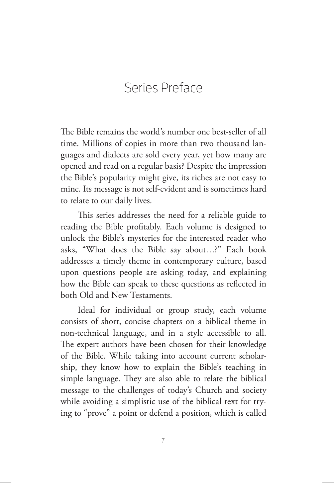## Series Preface

The Bible remains the world's number one best-seller of all time. Millions of copies in more than two thousand languages and dialects are sold every year, yet how many are opened and read on a regular basis? Despite the impression the Bible's popularity might give, its riches are not easy to mine. Its message is not self-evident and is sometimes hard to relate to our daily lives.

This series addresses the need for a reliable guide to reading the Bible profitably. Each volume is designed to unlock the Bible's mysteries for the interested reader who asks, "What does the Bible say about…?" Each book addresses a timely theme in contemporary culture, based upon questions people are asking today, and explaining how the Bible can speak to these questions as reflected in both Old and New Testaments.

Ideal for individual or group study, each volume consists of short, concise chapters on a biblical theme in non-technical language, and in a style accessible to all. The expert authors have been chosen for their knowledge of the Bible. While taking into account current scholarship, they know how to explain the Bible's teaching in simple language. They are also able to relate the biblical message to the challenges of today's Church and society while avoiding a simplistic use of the biblical text for trying to "prove" a point or defend a position, which is called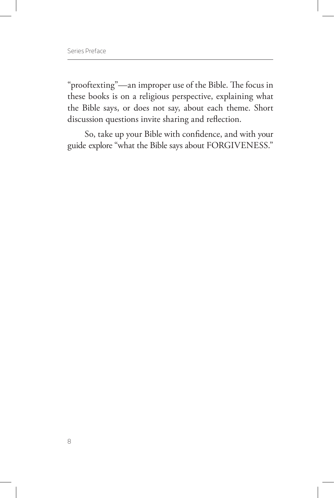"prooftexting"—an improper use of the Bible. The focus in these books is on a religious perspective, explaining what the Bible says, or does not say, about each theme. Short discussion questions invite sharing and reflection.

So, take up your Bible with confidence, and with your guide explore "what the Bible says about FORGIVENESS."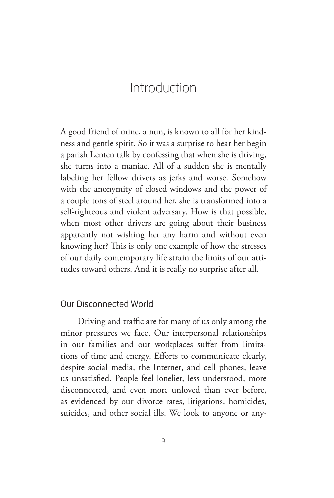### Introduction

A good friend of mine, a nun, is known to all for her kindness and gentle spirit. So it was a surprise to hear her begin a parish Lenten talk by confessing that when she is driving, she turns into a maniac. All of a sudden she is mentally labeling her fellow drivers as jerks and worse. Somehow with the anonymity of closed windows and the power of a couple tons of steel around her, she is transformed into a self-righteous and violent adversary. How is that possible, when most other drivers are going about their business apparently not wishing her any harm and without even knowing her? This is only one example of how the stresses of our daily contemporary life strain the limits of our attitudes toward others. And it is really no surprise after all.

#### Our Disconnected World

Driving and traffic are for many of us only among the minor pressures we face. Our interpersonal relationships in our families and our workplaces suffer from limitations of time and energy. Efforts to communicate clearly, despite social media, the Internet, and cell phones, leave us unsatisfied. People feel lonelier, less understood, more disconnected, and even more unloved than ever before, as evidenced by our divorce rates, litigations, homicides, suicides, and other social ills. We look to anyone or any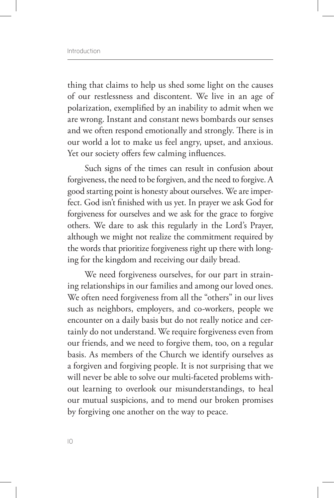thing that claims to help us shed some light on the causes of our restlessness and discontent. We live in an age of polarization, exemplified by an inability to admit when we are wrong. Instant and constant news bombards our senses and we often respond emotionally and strongly. There is in our world a lot to make us feel angry, upset, and anxious. Yet our society offers few calming influences.

Such signs of the times can result in confusion about forgiveness, the need to be forgiven, and the need to forgive. A good starting point is honesty about ourselves. We are imperfect. God isn't finished with us yet. In prayer we ask God for forgiveness for ourselves and we ask for the grace to forgive others. We dare to ask this regularly in the Lord's Prayer, although we might not realize the commitment required by the words that prioritize forgiveness right up there with longing for the kingdom and receiving our daily bread.

We need forgiveness ourselves, for our part in straining relationships in our families and among our loved ones. We often need forgiveness from all the "others" in our lives such as neighbors, employers, and co-workers, people we encounter on a daily basis but do not really notice and certainly do not understand. We require forgiveness even from our friends, and we need to forgive them, too, on a regular basis. As members of the Church we identify ourselves as a forgiven and forgiving people. It is not surprising that we will never be able to solve our multi-faceted problems without learning to overlook our misunderstandings, to heal our mutual suspicions, and to mend our broken promises by forgiving one another on the way to peace.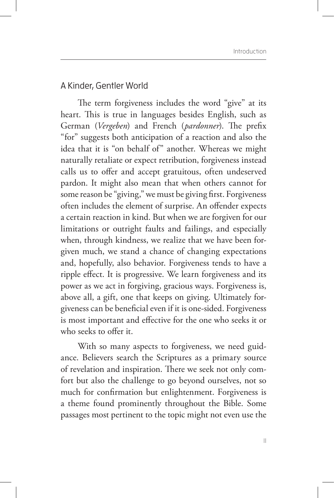#### A Kinder, Gentler World

The term forgiveness includes the word "give" at its heart. This is true in languages besides English, such as German (*Vergeben*) and French (*pardonner*). The prefix "for" suggests both anticipation of a reaction and also the idea that it is "on behalf of" another. Whereas we might naturally retaliate or expect retribution, forgiveness instead calls us to offer and accept gratuitous, often undeserved pardon. It might also mean that when others cannot for some reason be "giving," we must be giving first. Forgiveness often includes the element of surprise. An offender expects a certain reaction in kind. But when we are forgiven for our limitations or outright faults and failings, and especially when, through kindness, we realize that we have been forgiven much, we stand a chance of changing expectations and, hopefully, also behavior. Forgiveness tends to have a ripple effect. It is progressive. We learn forgiveness and its power as we act in forgiving, gracious ways. Forgiveness is, above all, a gift, one that keeps on giving. Ultimately forgiveness can be beneficial even if it is one-sided. Forgiveness is most important and effective for the one who seeks it or who seeks to offer it.

With so many aspects to forgiveness, we need guidance. Believers search the Scriptures as a primary source of revelation and inspiration. There we seek not only comfort but also the challenge to go beyond ourselves, not so much for confirmation but enlightenment. Forgiveness is a theme found prominently throughout the Bible. Some passages most pertinent to the topic might not even use the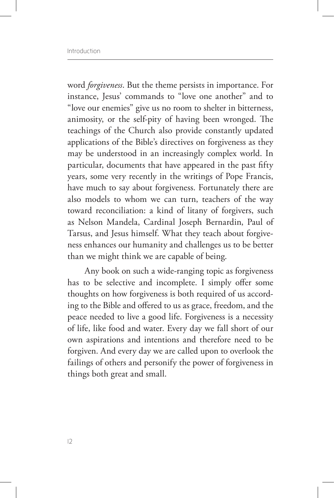word *forgiveness*. But the theme persists in importance. For instance, Jesus' commands to "love one another" and to "love our enemies" give us no room to shelter in bitterness, animosity, or the self-pity of having been wronged. The teachings of the Church also provide constantly updated applications of the Bible's directives on forgiveness as they may be understood in an increasingly complex world. In particular, documents that have appeared in the past fifty years, some very recently in the writings of Pope Francis, have much to say about forgiveness. Fortunately there are also models to whom we can turn, teachers of the way toward reconciliation: a kind of litany of forgivers, such as Nelson Mandela, Cardinal Joseph Bernardin, Paul of Tarsus, and Jesus himself. What they teach about forgiveness enhances our humanity and challenges us to be better than we might think we are capable of being.

Any book on such a wide-ranging topic as forgiveness has to be selective and incomplete. I simply offer some thoughts on how forgiveness is both required of us according to the Bible and offered to us as grace, freedom, and the peace needed to live a good life. Forgiveness is a necessity of life, like food and water. Every day we fall short of our own aspirations and intentions and therefore need to be forgiven. And every day we are called upon to overlook the failings of others and personify the power of forgiveness in things both great and small.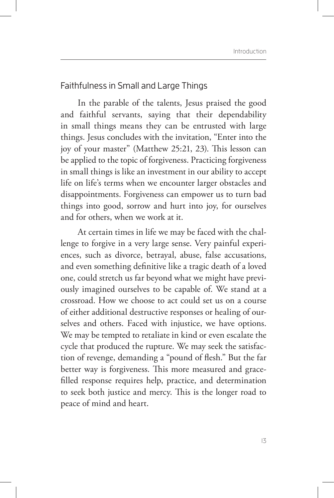#### Faithfulness in Small and Large Things

In the parable of the talents, Jesus praised the good and faithful servants, saying that their dependability in small things means they can be entrusted with large things. Jesus concludes with the invitation, "Enter into the joy of your master" (Matthew 25:21, 23). This lesson can be applied to the topic of forgiveness. Practicing forgiveness in small things is like an investment in our ability to accept life on life's terms when we encounter larger obstacles and disappointments. Forgiveness can empower us to turn bad things into good, sorrow and hurt into joy, for ourselves and for others, when we work at it.

At certain times in life we may be faced with the challenge to forgive in a very large sense. Very painful experiences, such as divorce, betrayal, abuse, false accusations, and even something definitive like a tragic death of a loved one, could stretch us far beyond what we might have previously imagined ourselves to be capable of. We stand at a crossroad. How we choose to act could set us on a course of either additional destructive responses or healing of ourselves and others. Faced with injustice, we have options. We may be tempted to retaliate in kind or even escalate the cycle that produced the rupture. We may seek the satisfaction of revenge, demanding a "pound of flesh." But the far better way is forgiveness. This more measured and gracefilled response requires help, practice, and determination to seek both justice and mercy. This is the longer road to peace of mind and heart.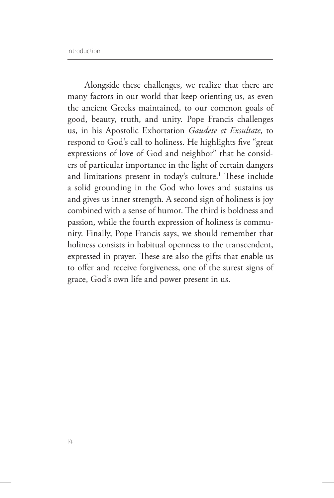Alongside these challenges, we realize that there are many factors in our world that keep orienting us, as even the ancient Greeks maintained, to our common goals of good, beauty, truth, and unity. Pope Francis challenges us, in his Apostolic Exhortation *Gaudete et Exsultate*, to respond to God's call to holiness. He highlights five "great expressions of love of God and neighbor" that he considers of particular importance in the light of certain dangers and limitations present in today's culture.<sup>1</sup> These include a solid grounding in the God who loves and sustains us and gives us inner strength. A second sign of holiness is joy combined with a sense of humor. The third is boldness and passion, while the fourth expression of holiness is community. Finally, Pope Francis says, we should remember that holiness consists in habitual openness to the transcendent, expressed in prayer. These are also the gifts that enable us to offer and receive forgiveness, one of the surest signs of grace, God's own life and power present in us.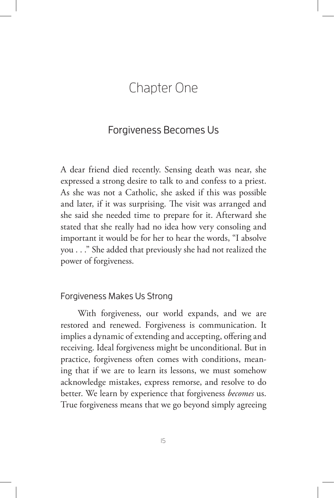### Chapter One

#### Forgiveness Becomes Us

A dear friend died recently. Sensing death was near, she expressed a strong desire to talk to and confess to a priest. As she was not a Catholic, she asked if this was possible and later, if it was surprising. The visit was arranged and she said she needed time to prepare for it. Afterward she stated that she really had no idea how very consoling and important it would be for her to hear the words, "I absolve you . . ." She added that previously she had not realized the power of forgiveness.

#### Forgiveness Makes Us Strong

With forgiveness, our world expands, and we are restored and renewed. Forgiveness is communication. It implies a dynamic of extending and accepting, offering and receiving. Ideal forgiveness might be unconditional. But in practice, forgiveness often comes with conditions, meaning that if we are to learn its lessons, we must somehow acknowledge mistakes, express remorse, and resolve to do better. We learn by experience that forgiveness *becomes* us. True forgiveness means that we go beyond simply agreeing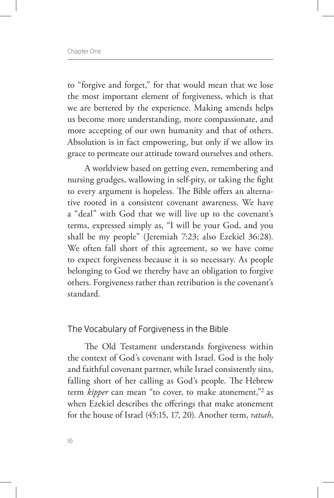to "forgive and forget," for that would mean that we lose the most important element of forgiveness, which is that we are bettered by the experience. Making amends helps us become more understanding, more compassionate, and more accepting of our own humanity and that of others. Absolution is in fact empowering, but only if we allow its grace to permeate our attitude toward ourselves and others.

A worldview based on getting even, remembering and nursing grudges, wallowing in self-pity, or taking the fight to every argument is hopeless. The Bible offers an alternative rooted in a consistent covenant awareness. We have a "deal" with God that we will live up to the covenant's terms, expressed simply as, "I will be your God, and you shall be my people" (Jeremiah 7:23; also Ezekiel 36:28). We often fall short of this agreement, so we have come to expect forgiveness because it is so necessary. As people belonging to God we thereby have an obligation to forgive others. Forgiveness rather than retribution is the covenant's standard.

#### The Vocabulary of Forgiveness in the Bible

The Old Testament understands forgiveness within the context of God's covenant with Israel. God is the holy and faithful covenant partner, while Israel consistently sins, falling short of her calling as God's people. The Hebrew term *kipper* can mean "to cover, to make atonement,"<sup>2</sup> as when Ezekiel describes the offerings that make atonement for the house of Israel (45:15, 17, 20). Another term, *ratsah*,